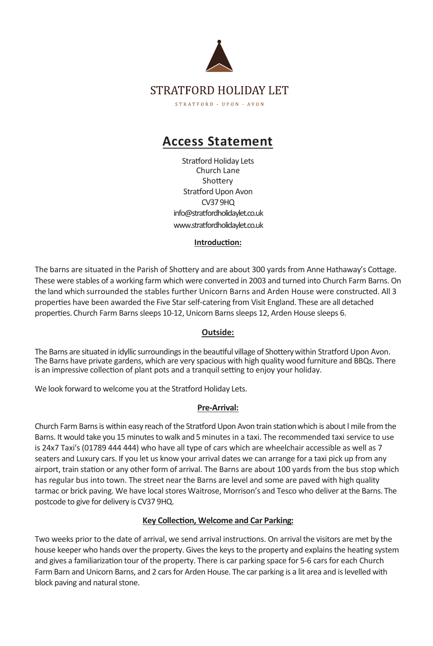

# **Access Statement**

Stratford Holiday Lets Church Lane Shottery Stratford Upon Avon CV379HQ info@stratfordholidaylet.co.uk www.stratfordholidaylet.co.uk

## **Introduc�on:**

The barns are situated in the Parish of Shottery and are about 300 yards from Anne Hathaway's Cottage. These were stables of a working farm which were converted in 2003 and turned into Church Farm Barns. On the land which surrounded the stables further Unicorn Barns and Arden House were constructed. All 3 properties have been awarded the Five Star self-catering from Visit England. These are all detached properties. Church Farm Barns sleeps 10-12, Unicorn Barns sleeps 12, Arden House sleeps 6.

# **Outside:**

The Barns are situated in idyllic surroundings in the beautiful village of Shottery within Stratford Upon Avon. The Barns have private gardens, which are very spacious with high quality wood furniture and BBQs. There is an impressive collection of plant pots and a tranquil setting to enjoy your holiday.

We look forward to welcome you at the Stratford Holiday Lets.

# **Pre-Arrival:**

Church Farm Barns is within easy reach of the Stratford Upon Avon train station which is about I mile from the Barns. It would take you 15 minutes to walk and 5 minutes in a taxi. The recommended taxi service to use is 24x7 Taxi's (01789 444 444) who have all type of cars which are wheelchair accessible as well as 7 seaters and Luxury cars. If you let us know your arrival dates we can arrange for a taxi pick up from any airport, train station or any other form of arrival. The Barns are about 100 yards from the bus stop which has regular bus into town. The street near the Barns are level and some are paved with high quality tarmac or brick paving. We have local stores Waitrose, Morrison's and Tesco who deliver at the Barns. The postcode to give for delivery is CV37 9HQ.

# **Key Collec�on, Welcome and Car Parking:**

Two weeks prior to the date of arrival, we send arrival instructions. On arrival the visitors are met by the house keeper who hands over the property. Gives the keys to the property and explains the heating system and gives a familiarization tour of the property. There is car parking space for 5-6 cars for each Church Farm Barn and Unicorn Barns, and 2 cars for Arden House. The car parking is a lit area and is levelled with block paving and natural stone.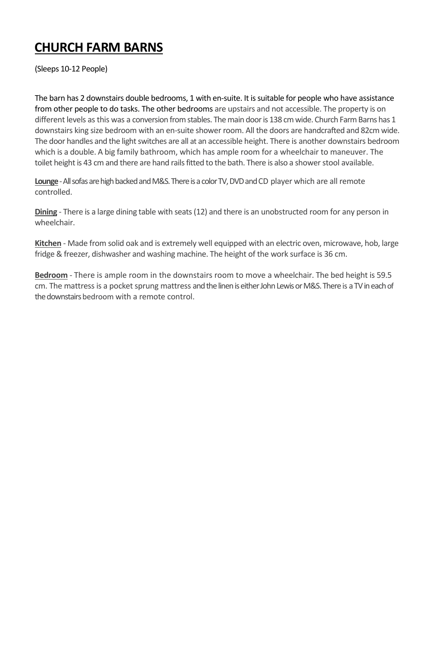# **CHURCH FARM BARNS**

(Sleeps 10-12 People)

The barn has 2 downstairs double bedrooms, 1 with en-suite. It is suitable for people who have assistance from other people to do tasks. The other bedrooms are upstairs and not accessible. The property is on different levels as this was a conversion from stables. The main door is 138 cm wide. Church Farm Barns has 1 downstairs king size bedroom with an en-suite shower room. All the doors are handcrafted and 82cm wide. The door handles and the light switches are all at an accessible height. There is another downstairs bedroom which is a double. A big family bathroom, which has ample room for a wheelchair to maneuver. The toilet height is 43 cm and there are hand rails fitted to the bath. There is also a shower stool available.

**Lounge**-All sofas are high backed and M&S. There is a color TV, DVD and CD player which are all remote controlled.

**Dining** - There is a large dining table with seats (12) and there is an unobstructed room for any person in wheelchair.

**Kitchen** - Made from solid oak and is extremely well equipped with an electric oven, microwave, hob, large fridge & freezer, dishwasher and washing machine. The height of the work surface is 36 cm.

**Bedroom** - There is ample room in the downstairs room to move a wheelchair. The bed height is 59.5 cm. The mattress is a pocket sprung mattress and the linen is either John Lewis or M&S. There is a TV in each of the downstairs bedroom with a remote control.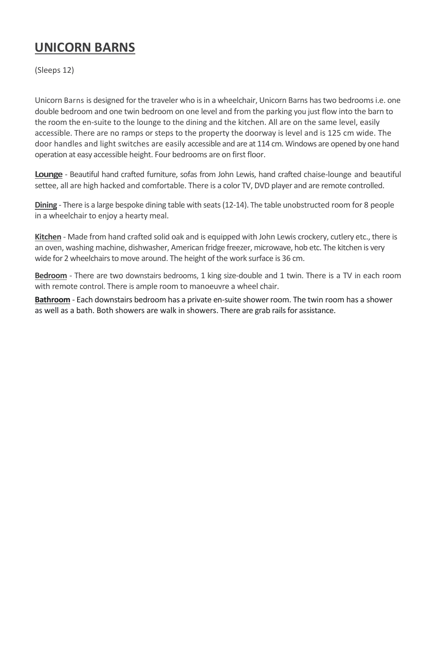# **UNICORN BARNS**

(Sleeps 12)

Unicorn Barns is designed for the traveler who is in a wheelchair, Unicorn Barns has two bedrooms i.e. one double bedroom and one twin bedroom on one level and from the parking you just flow into the barn to the room the en-suite to the lounge to the dining and the kitchen. All are on the same level, easily accessible. There are no ramps or steps to the property the doorway is level and is 125 cm wide. The door handles and light switches are easily accessible and are at 114 cm. Windows are opened by one hand operation at easy accessible height. Four bedrooms are on first floor.

**Lounge** - Beautiful hand crafted furniture, sofas from John Lewis, hand crafted chaise-lounge and beautiful settee, all are high hacked and comfortable. There is a color TV, DVD player and are remote controlled.

**Dining** - There is a large bespoke dining table with seats (12-14). The table unobstructed room for 8 people in a wheelchair to enjoy a hearty meal.

**Kitchen** - Made from hand crafted solid oak and is equipped with John Lewis crockery, cutlery etc., there is an oven, washing machine, dishwasher, American fridge freezer, microwave, hob etc. The kitchen is very wide for 2 wheelchairs to move around. The height of the work surface is 36 cm.

**Bedroom** - There are two downstairs bedrooms, 1 king size-double and 1 twin. There is a TV in each room with remote control. There is ample room to manoeuvre a wheel chair.

**Bathroom** - Each downstairs bedroom has a private en-suite shower room. The twin room has a shower as well as a bath. Both showers are walk in showers. There are grab rails for assistance.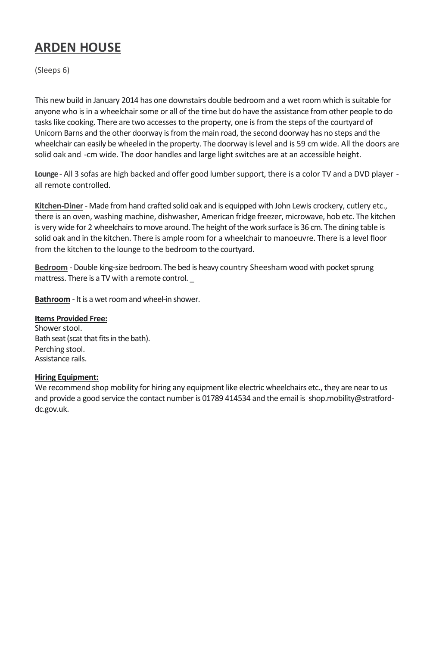# **ARDEN HOUSE**

(Sleeps 6)

This new build in January 2014 has one downstairs double bedroom and a wet room which is suitable for anyone who is in a wheelchair some or all of the time but do have the assistance from other people to do tasks like cooking. There are two accesses to the property, one is from the steps of the courtyard of Unicorn Barns and the other doorway is from the main road, the second doorway has no steps and the wheelchair can easily be wheeled in the property. The doorway is level and is 59 cm wide. All the doors are solid oak and -cm wide. The door handles and large light switches are at an accessible height.

**Lounge**- All 3 sofas are high backed and offer good lumber support, there is a color TV and a DVD player- all remote controlled.

**Kitchen-Diner** - Made from hand crafted solid oak and is equipped with John Lewis crockery, cutlery etc., there is an oven, washing machine, dishwasher, American fridge freezer, microwave, hob etc. The kitchen is very wide for 2 wheelchairs to move around. The height of the work surface is 36 cm. The dining table is solid oak and in the kitchen. There is ample room for a wheelchair to manoeuvre. There is a level floor from the kitchen to the lounge to the bedroom to the courtyard.

**Bedroom** - Double king-size bedroom. The bed is heavy country Sheesham wood with pocket sprung mattress. There is a TV with a remote control. \_

**Bathroom** - It is a wet room and wheel-in shower.

# **Items Provided Free:**

Shower stool. Bath seat (scat that fits in the bath). Perching stool. Assistance rails.

## **Hiring Equipment:**

We recommend shop mobility for hiring any equipment like electric wheelchairs etc., they are near to us and provide a good service the contact number is 01789 414534 and the email is shop.mobility@stratforddc.gov.uk.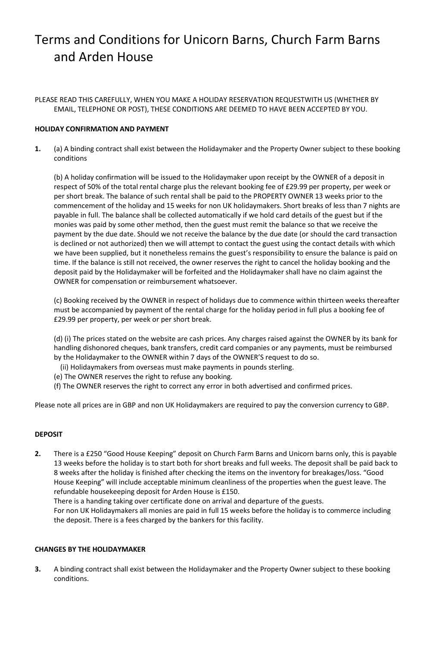# Terms and Conditions for Unicorn Barns, Church Farm Barns and Arden House

PLEASE READ THIS CAREFULLY, WHEN YOU MAKE A HOLIDAY RESERVATION REQUESTWITH US (WHETHER BY EMAIL, TELEPHONE OR POST), THESE CONDITIONS ARE DEEMED TO HAVE BEEN ACCEPTED BY YOU.

### **HOLIDAY CONFIRMATION AND PAYMENT**

**1.** (a) A binding contract shall exist between the Holidaymaker and the Property Owner subject to these booking conditions

(b) A holiday confirmation will be issued to the Holidaymaker upon receipt by the OWNER of a deposit in respect of 50% of the total rental charge plus the relevant booking fee of £29.99 per property, per week or per short break. The balance of such rental shall be paid to the PROPERTY OWNER 13 weeks prior to the commencement of the holiday and 15 weeks for non UK holidaymakers. Short breaks of less than 7 nights are payable in full. The balance shall be collected automatically if we hold card details of the guest but if the monies was paid by some other method, then the guest must remit the balance so that we receive the payment by the due date. Should we not receive the balance by the due date (or should the card transaction is declined or not authorized) then we will attempt to contact the guest using the contact details with which we have been supplied, but it nonetheless remains the guest's responsibility to ensure the balance is paid on time. If the balance is still not received, the owner reserves the right to cancel the holiday booking and the deposit paid by the Holidaymaker will be forfeited and the Holidaymaker shall have no claim against the OWNER for compensation or reimbursement whatsoever.

(c) Booking received by the OWNER in respect of holidays due to commence within thirteen weeks thereafter must be accompanied by payment of the rental charge for the holiday period in full plus a booking fee of £29.99 per property, per week or per short break.

(d) (i) The prices stated on the website are cash prices. Any charges raised against the OWNER by its bank for handling dishonored cheques, bank transfers, credit card companies or any payments, must be reimbursed by the Holidaymaker to the OWNER within 7 days of the OWNER'S request to do so.

- (ii) Holidaymakers from overseas must make payments in pounds sterling.
- (e) The OWNER reserves the right to refuse any booking.
- (f) The OWNER reserves the right to correct any error in both advertised and confirmed prices.

Please note all prices are in GBP and non UK Holidaymakers are required to pay the conversion currency to GBP.

### **DEPOSIT**

**2.** There is a £250 "Good House Keeping" deposit on Church Farm Barns and Unicorn barns only, this is payable 13 weeks before the holiday is to start both for short breaks and full weeks. The deposit shall be paid back to 8 weeks after the holiday is finished after checking the items on the inventory for breakages/loss. "Good House Keeping" will include acceptable minimum cleanliness of the properties when the guest leave. The refundable housekeeping deposit for Arden House is £150.

There is a handing taking over certificate done on arrival and departure of the guests.

For non UK Holidaymakers all monies are paid in full 15 weeks before the holiday is to commerce including the deposit. There is a fees charged by the bankers for this facility.

#### **CHANGES BY THE HOLIDAYMAKER**

**3.** A binding contract shall exist between the Holidaymaker and the Property Owner subject to these booking conditions.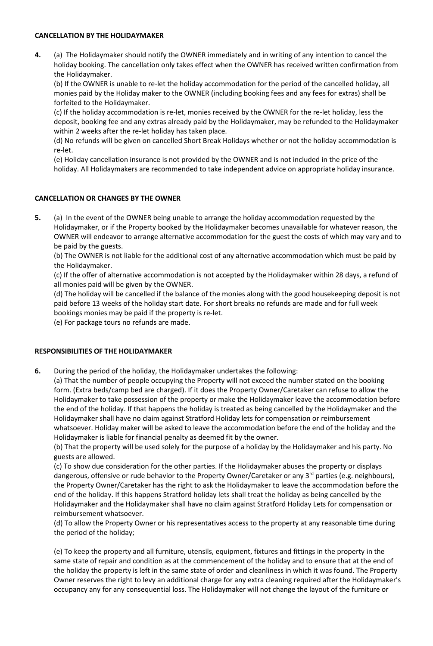#### **CANCELLATION BY THE HOLIDAYMAKER**

**4.** (a) The Holidaymaker should notify the OWNER immediately and in writing of any intention to cancel the holiday booking. The cancellation only takes effect when the OWNER has received written confirmation from the Holidaymaker.

(b) If the OWNER is unable to re-let the holiday accommodation for the period of the cancelled holiday, all monies paid by the Holiday maker to the OWNER (including booking fees and any fees for extras) shall be forfeited to the Holidaymaker.

(c) If the holiday accommodation is re-let, monies received by the OWNER for the re-let holiday, less the deposit, booking fee and any extras already paid by the Holidaymaker, may be refunded to the Holidaymaker within 2 weeks after the re-let holiday has taken place.

(d) No refunds will be given on cancelled Short Break Holidays whether or not the holiday accommodation is re-let.

(e) Holiday cancellation insurance is not provided by the OWNER and is not included in the price of the holiday. All Holidaymakers are recommended to take independent advice on appropriate holiday insurance.

### **CANCELLATION OR CHANGES BY THE OWNER**

**5.** (a) In the event of the OWNER being unable to arrange the holiday accommodation requested by the Holidaymaker, or if the Property booked by the Holidaymaker becomes unavailable for whatever reason, the OWNER will endeavor to arrange alternative accommodation for the guest the costs of which may vary and to be paid by the guests.

(b) The OWNER is not liable for the additional cost of any alternative accommodation which must be paid by the Holidaymaker.

(c) If the offer of alternative accommodation is not accepted by the Holidaymaker within 28 days, a refund of all monies paid will be given by the OWNER.

(d) The holiday will be cancelled if the balance of the monies along with the good housekeeping deposit is not paid before 13 weeks of the holiday start date. For short breaks no refunds are made and for full week bookings monies may be paid if the property is re-let.

(e) For package tours no refunds are made.

#### **RESPONSIBILITIES OF THE HOLIDAYMAKER**

**6.** During the period of the holiday, the Holidaymaker undertakes the following:

(a) That the number of people occupying the Property will not exceed the number stated on the booking form. (Extra beds/camp bed are charged). If it does the Property Owner/Caretaker can refuse to allow the Holidaymaker to take possession of the property or make the Holidaymaker leave the accommodation before the end of the holiday. If that happens the holiday is treated as being cancelled by the Holidaymaker and the Holidaymaker shall have no claim against Stratford Holiday lets for compensation or reimbursement whatsoever. Holiday maker will be asked to leave the accommodation before the end of the holiday and the Holidaymaker is liable for financial penalty as deemed fit by the owner.

(b) That the property will be used solely for the purpose of a holiday by the Holidaymaker and his party. No guests are allowed.

(c) To show due consideration for the other parties. If the Holidaymaker abuses the property or displays dangerous, offensive or rude behavior to the Property Owner/Caretaker or any 3<sup>rd</sup> parties (e.g. neighbours), the Property Owner/Caretaker has the right to ask the Holidaymaker to leave the accommodation before the end of the holiday. If this happens Stratford holiday lets shall treat the holiday as being cancelled by the Holidaymaker and the Holidaymaker shall have no claim against Stratford Holiday Lets for compensation or reimbursement whatsoever.

(d) To allow the Property Owner or his representatives access to the property at any reasonable time during the period of the holiday;

(e) To keep the property and all furniture, utensils, equipment, fixtures and fittings in the property in the same state of repair and condition as at the commencement of the holiday and to ensure that at the end of the holiday the property is left in the same state of order and cleanliness in which it was found. The Property Owner reserves the right to levy an additional charge for any extra cleaning required after the Holidaymaker's occupancy any for any consequential loss. The Holidaymaker will not change the layout of the furniture or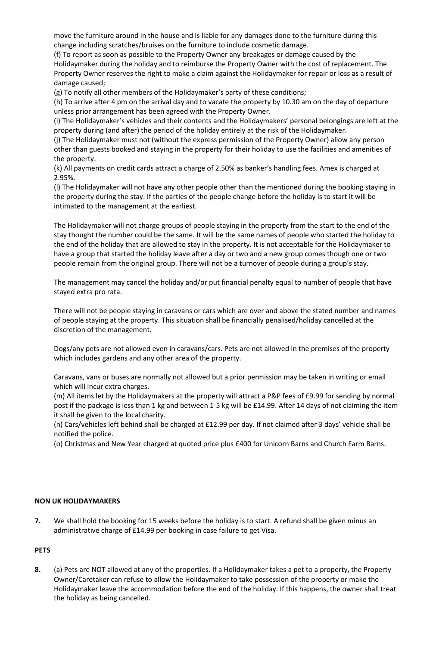move the furniture around in the house and is liable for any damages done to the furniture during this change including scratches/bruises on the furniture to include cosmetic damage.

(f) To report as soon as possible to the Property Owner any breakages or damage caused by the Holidaymaker during the holiday and to reimburse the Property Owner with the cost of replacement. The Property Owner reserves the right to make a claim against the Holidaymaker for repair or loss as a result of damage caused;

(g) To notify all other members of the Holidaymaker's party of these conditions;

(h) To arrive after 4 pm on the arrival day and to vacate the property by 10.30 am on the day of departure unless prior arrangement has been agreed with the Property Owner.

(i) The Holidaymaker's vehicles and their contents and the Holidaymakers' personal belongings are left at the property during (and after) the period of the holiday entirely at the risk of the Holidaymaker.

(j) The Holidaymaker must not (without the express permission of the Property Owner) allow any person other than guests booked and staying in the property for their holiday to use the facilities and amenities of the property.

(k) All payments on credit cards attract a charge of 2.50% as banker's handling fees. Amex is charged at 2.95%.

(l) The Holidaymaker will not have any other people other than the mentioned during the booking staying in the property during the stay. If the parties of the people change before the holiday is to start it will be intimated to the management at the earliest.

The Holidaymaker will not charge groups of people staying in the property from the start to the end of the stay thought the number could be the same. It will be the same names of people who started the holiday to the end of the holiday that are allowed to stay in the property. It is not acceptable for the Holidaymaker to have a group that started the holiday leave after a day or two and a new group comes though one or two people remain from the original group. There will not be a turnover of people during a group's stay.

The management may cancel the holiday and/or put financial penalty equal to number of people that have stayed extra pro rata.

There will not be people staying in caravans or cars which are over and above the stated number and names of people staying at the property. This situation shall be financially penalised/holiday cancelled at the discretion of the management.

Dogs/any pets are not allowed even in caravans/cars. Pets are not allowed in the premises of the property which includes gardens and any other area of the property.

Caravans, vans or buses are normally not allowed but a prior permission may be taken in writing or email which will incur extra charges.

(m) All items let by the Holidaymakers at the property will attract a P&P fees of £9.99 for sending by normal post if the package is less than 1 kg and between 1-5 kg will be £14.99. After 14 days of not claiming the item it shall be given to the local charity.

(n) Cars/vehicles left behind shall be charged at £12.99 per day. If not claimed after 3 days' vehicle shall be notified the police.

(o) Christmas and New Year charged at quoted price plus £400 for Unicorn Barns and Church Farm Barns.

#### **NON UK HOLIDAYMAKERS**

**7.** We shall hold the booking for 15 weeks before the holiday is to start. A refund shall be given minus an administrative charge of £14.99 per booking in case failure to get Visa.

### **PETS**

**8.** (a) Pets are NOT allowed at any of the properties. If a Holidaymaker takes a pet to a property, the Property Owner/Caretaker can refuse to allow the Holidaymaker to take possession of the property or make the Holidaymaker leave the accommodation before the end of the holiday. If this happens, the owner shall treat the holiday as being cancelled.